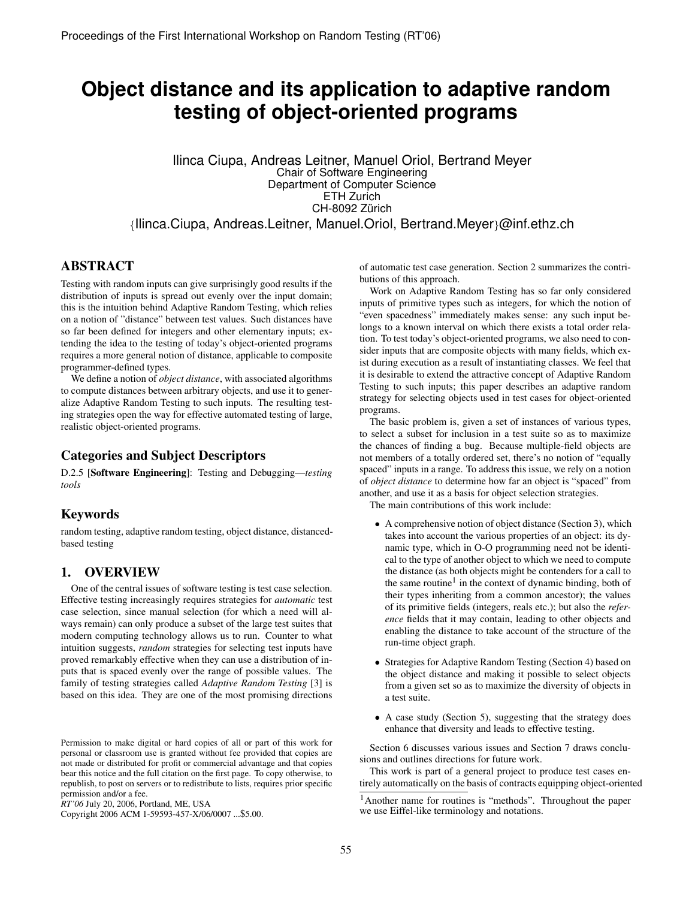# **Object distance and its application to adaptive random testing of object-oriented programs**

Ilinca Ciupa, Andreas Leitner, Manuel Oriol, Bertrand Meyer Chair of Software Engineering Department of Computer Science ETH Zurich CH-8092 Zürich *{*Ilinca.Ciupa, Andreas.Leitner, Manuel.Oriol, Bertrand.Meyer*}*@inf.ethz.ch

# ABSTRACT

Testing with random inputs can give surprisingly good results if the distribution of inputs is spread out evenly over the input domain; this is the intuition behind Adaptive Random Testing, which relies on a notion of "distance" between test values. Such distances have so far been defined for integers and other elementary inputs; extending the idea to the testing of today's object-oriented programs requires a more general notion of distance, applicable to composite programmer-defined types.

We define a notion of *object distance*, with associated algorithms to compute distances between arbitrary objects, and use it to generalize Adaptive Random Testing to such inputs. The resulting testing strategies open the way for effective automated testing of large, realistic object-oriented programs.

# Categories and Subject Descriptors

D.2.5 [Software Engineering]: Testing and Debugging—*testing tools*

# Keywords

random testing, adaptive random testing, object distance, distancedbased testing

#### 1. OVERVIEW

One of the central issues of software testing is test case selection. Effective testing increasingly requires strategies for *automatic* test case selection, since manual selection (for which a need will always remain) can only produce a subset of the large test suites that modern computing technology allows us to run. Counter to what intuition suggests, *random* strategies for selecting test inputs have proved remarkably effective when they can use a distribution of inputs that is spaced evenly over the range of possible values. The family of testing strategies called *Adaptive Random Testing* [3] is based on this idea. They are one of the most promising directions

Copyright 2006 ACM 1-59593-457-X/06/0007 ...\$5.00.

of automatic test case generation. Section 2 summarizes the contributions of this approach.

Work on Adaptive Random Testing has so far only considered inputs of primitive types such as integers, for which the notion of "even spacedness" immediately makes sense: any such input belongs to a known interval on which there exists a total order relation. To test today's object-oriented programs, we also need to consider inputs that are composite objects with many fields, which exist during execution as a result of instantiating classes. We feel that it is desirable to extend the attractive concept of Adaptive Random Testing to such inputs; this paper describes an adaptive random strategy for selecting objects used in test cases for object-oriented programs.

The basic problem is, given a set of instances of various types, to select a subset for inclusion in a test suite so as to maximize the chances of finding a bug. Because multiple-field objects are not members of a totally ordered set, there's no notion of "equally spaced" inputs in a range. To address this issue, we rely on a notion of *object distance* to determine how far an object is "spaced" from another, and use it as a basis for object selection strategies.

The main contributions of this work include:

- A comprehensive notion of object distance (Section 3), which takes into account the various properties of an object: its dynamic type, which in O-O programming need not be identical to the type of another object to which we need to compute the distance (as both objects might be contenders for a call to the same routine<sup>1</sup> in the context of dynamic binding, both of their types inheriting from a common ancestor); the values of its primitive fields (integers, reals etc.); but also the *reference* fields that it may contain, leading to other objects and enabling the distance to take account of the structure of the run-time object graph.
- Strategies for Adaptive Random Testing (Section 4) based on the object distance and making it possible to select objects from a given set so as to maximize the diversity of objects in a test suite.
- A case study (Section 5), suggesting that the strategy does enhance that diversity and leads to effective testing.

Section 6 discusses various issues and Section 7 draws conclusions and outlines directions for future work.

This work is part of a general project to produce test cases entirely automatically on the basis of contracts equipping object-oriented

Permission to make digital or hard copies of all or part of this work for personal or classroom use is granted without fee provided that copies are not made or distributed for profit or commercial advantage and that copies bear this notice and the full citation on the first page. To copy otherwise, to republish, to post on servers or to redistribute to lists, requires prior specific permission and/or a fee.

*RT'06* July 20, 2006, Portland, ME, USA

<sup>&</sup>lt;sup>1</sup>Another name for routines is "methods". Throughout the paper we use Eiffel-like terminology and notations.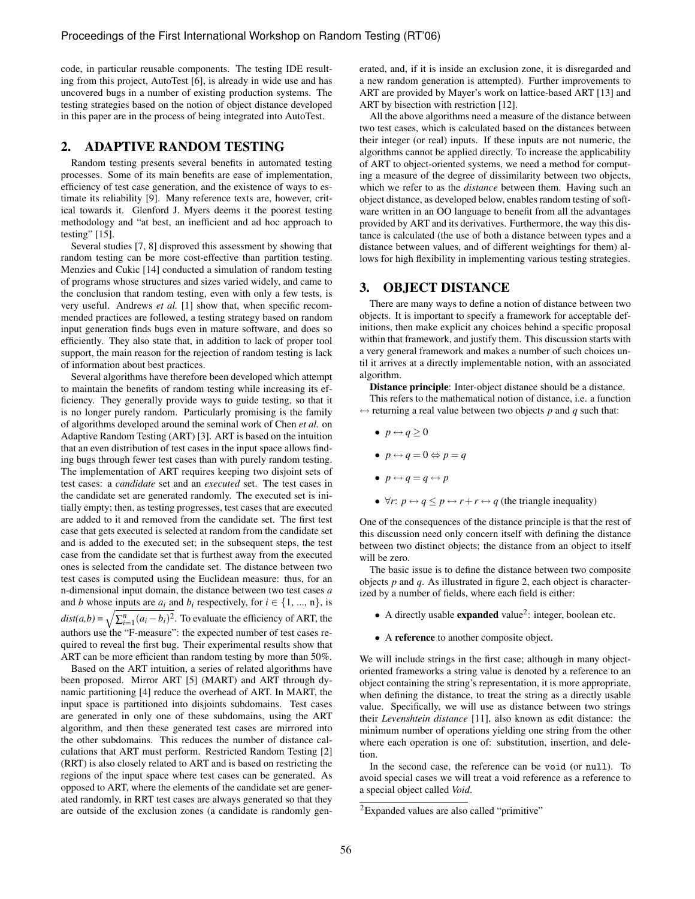code, in particular reusable components. The testing IDE resulting from this project, AutoTest [6], is already in wide use and has uncovered bugs in a number of existing production systems. The testing strategies based on the notion of object distance developed in this paper are in the process of being integrated into AutoTest.

#### 2. ADAPTIVE RANDOM TESTING

Random testing presents several benefits in automated testing processes. Some of its main benefits are ease of implementation, efficiency of test case generation, and the existence of ways to estimate its reliability [9]. Many reference texts are, however, critical towards it. Glenford J. Myers deems it the poorest testing methodology and "at best, an inefficient and ad hoc approach to testing" [15].

Several studies [7, 8] disproved this assessment by showing that random testing can be more cost-effective than partition testing. Menzies and Cukic [14] conducted a simulation of random testing of programs whose structures and sizes varied widely, and came to the conclusion that random testing, even with only a few tests, is very useful. Andrews *et al.* [1] show that, when specific recommended practices are followed, a testing strategy based on random input generation finds bugs even in mature software, and does so efficiently. They also state that, in addition to lack of proper tool support, the main reason for the rejection of random testing is lack of information about best practices.

Several algorithms have therefore been developed which attempt to maintain the benefits of random testing while increasing its efficiency. They generally provide ways to guide testing, so that it is no longer purely random. Particularly promising is the family of algorithms developed around the seminal work of Chen *et al.* on Adaptive Random Testing (ART) [3]. ART is based on the intuition that an even distribution of test cases in the input space allows finding bugs through fewer test cases than with purely random testing. The implementation of ART requires keeping two disjoint sets of test cases: a *candidate* set and an *executed* set. The test cases in the candidate set are generated randomly. The executed set is initially empty; then, as testing progresses, test cases that are executed are added to it and removed from the candidate set. The first test case that gets executed is selected at random from the candidate set and is added to the executed set; in the subsequent steps, the test case from the candidate set that is furthest away from the executed ones is selected from the candidate set. The distance between two test cases is computed using the Euclidean measure: thus, for an n-dimensional input domain, the distance between two test cases *a* and *b* whose inputs are  $a_i$  and  $b_i$  respectively, for  $i \in \{1, ..., n\}$ , is  $dist(a,b) = \sqrt{\sum_{i=1}^{n} (a_i - b_i)^2}$ . To evaluate the efficiency of ART, the authors use the "F-measure": the expected number of test cases required to reveal the first bug. Their experimental results show that ART can be more efficient than random testing by more than 50%.

Based on the ART intuition, a series of related algorithms have been proposed. Mirror ART [5] (MART) and ART through dynamic partitioning [4] reduce the overhead of ART. In MART, the input space is partitioned into disjoints subdomains. Test cases are generated in only one of these subdomains, using the ART algorithm, and then these generated test cases are mirrored into the other subdomains. This reduces the number of distance calculations that ART must perform. Restricted Random Testing [2] (RRT) is also closely related to ART and is based on restricting the regions of the input space where test cases can be generated. As opposed to ART, where the elements of the candidate set are generated randomly, in RRT test cases are always generated so that they are outside of the exclusion zones (a candidate is randomly generated, and, if it is inside an exclusion zone, it is disregarded and a new random generation is attempted). Further improvements to ART are provided by Mayer's work on lattice-based ART [13] and ART by bisection with restriction [12].

All the above algorithms need a measure of the distance between two test cases, which is calculated based on the distances between their integer (or real) inputs. If these inputs are not numeric, the algorithms cannot be applied directly. To increase the applicability of ART to object-oriented systems, we need a method for computing a measure of the degree of dissimilarity between two objects, which we refer to as the *distance* between them. Having such an object distance, as developed below, enables random testing of software written in an OO language to benefit from all the advantages provided by ART and its derivatives. Furthermore, the way this distance is calculated (the use of both a distance between types and a distance between values, and of different weightings for them) allows for high flexibility in implementing various testing strategies.

# 3. OBJECT DISTANCE

There are many ways to define a notion of distance between two objects. It is important to specify a framework for acceptable definitions, then make explicit any choices behind a specific proposal within that framework, and justify them. This discussion starts with a very general framework and makes a number of such choices until it arrives at a directly implementable notion, with an associated algorithm.

Distance principle: Inter-object distance should be a distance.

This refers to the mathematical notion of distance, i.e. a function  $\leftrightarrow$  returning a real value between two objects p and q such that:

- $\bullet$   $p \leftrightarrow q \geq 0$
- $p \leftrightarrow q = 0 \Leftrightarrow p = q$
- $p \leftrightarrow q = q \leftrightarrow p$
- $\forall r: p \leftrightarrow q \leq p \leftrightarrow r + r \leftrightarrow q$  (the triangle inequality)

One of the consequences of the distance principle is that the rest of this discussion need only concern itself with defining the distance between two distinct objects; the distance from an object to itself will be zero.

The basic issue is to define the distance between two composite objects *p* and *q*. As illustrated in figure 2, each object is characterized by a number of fields, where each field is either:

- A directly usable **expanded** value<sup>2</sup>: integer, boolean etc.
- A reference to another composite object.

We will include strings in the first case; although in many objectoriented frameworks a string value is denoted by a reference to an object containing the string's representation, it is more appropriate, when defining the distance, to treat the string as a directly usable value. Specifically, we will use as distance between two strings their *Levenshtein distance* [11], also known as edit distance: the minimum number of operations yielding one string from the other where each operation is one of: substitution, insertion, and deletion.

In the second case, the reference can be void (or null). To avoid special cases we will treat a void reference as a reference to a special object called *Void*.

<sup>&</sup>lt;sup>2</sup>Expanded values are also called "primitive"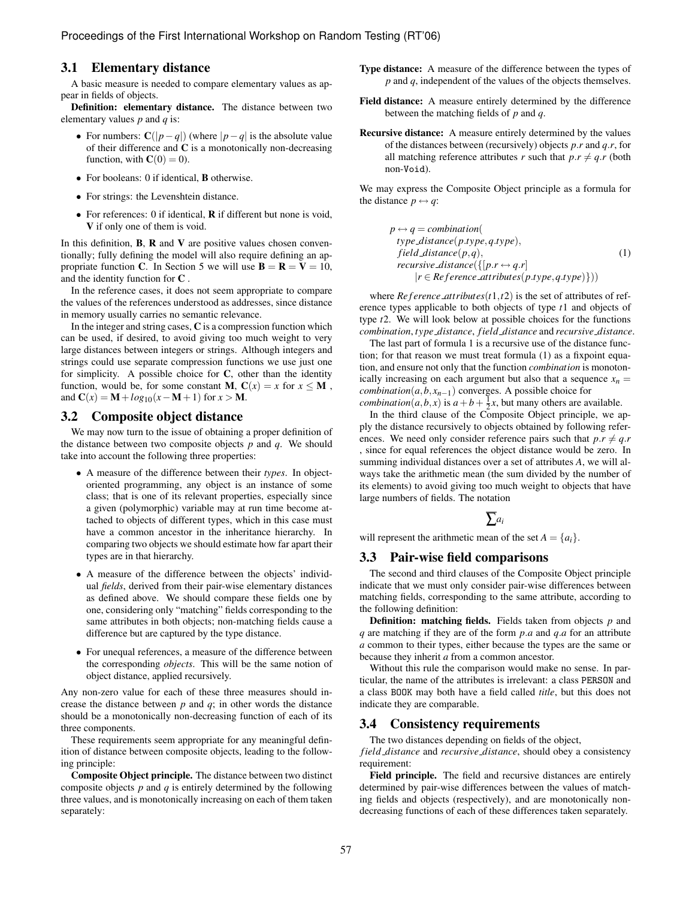#### 3.1 Elementary distance

A basic measure is needed to compare elementary values as appear in fields of objects.

Definition: elementary distance. The distance between two elementary values *p* and *q* is:

- For numbers:  $C(|p-q|)$  (where  $|p-q|$  is the absolute value of their difference and  $C$  is a monotonically non-decreasing function, with  $C(0) = 0$ ).
- For booleans: 0 if identical, **B** otherwise.
- For strings: the Levenshtein distance.
- For references: 0 if identical, **R** if different but none is void, V if only one of them is void.

In this definition,  $B$ ,  $R$  and  $V$  are positive values chosen conventionally; fully defining the model will also require defining an appropriate function C. In Section 5 we will use  $B = R = V = 10$ , and the identity function for C .

In the reference cases, it does not seem appropriate to compare the values of the references understood as addresses, since distance in memory usually carries no semantic relevance.

In the integer and string cases,  $C$  is a compression function which can be used, if desired, to avoid giving too much weight to very large distances between integers or strings. Although integers and strings could use separate compression functions we use just one for simplicity. A possible choice for  $C$ , other than the identity function, would be, for some constant **M**,  $C(x) = x$  for  $x \le M$ , and  $C(x) = M + log_{10}(x - M + 1)$  for  $x > M$ .

#### 3.2 Composite object distance

We may now turn to the issue of obtaining a proper definition of the distance between two composite objects *p* and *q*. We should take into account the following three properties:

- A measure of the difference between their *types*. In objectoriented programming, any object is an instance of some class; that is one of its relevant properties, especially since a given (polymorphic) variable may at run time become attached to objects of different types, which in this case must have a common ancestor in the inheritance hierarchy. In comparing two objects we should estimate how far apart their types are in that hierarchy.
- A measure of the difference between the objects' individual *fields*, derived from their pair-wise elementary distances as defined above. We should compare these fields one by one, considering only "matching" fields corresponding to the same attributes in both objects; non-matching fields cause a difference but are captured by the type distance.
- For unequal references, a measure of the difference between the corresponding *objects*. This will be the same notion of object distance, applied recursively.

Any non-zero value for each of these three measures should increase the distance between  $p$  and  $q$ ; in other words the distance should be a monotonically non-decreasing function of each of its three components.

These requirements seem appropriate for any meaningful definition of distance between composite objects, leading to the following principle:

Composite Object principle. The distance between two distinct composite objects *p* and *q* is entirely determined by the following three values, and is monotonically increasing on each of them taken separately:

- Type distance: A measure of the difference between the types of *p* and *q*, independent of the values of the objects themselves.
- Field distance: A measure entirely determined by the difference between the matching fields of *p* and *q*.
- Recursive distance: A measure entirely determined by the values of the distances between (recursively) objects *p.r* and *q.r*, for all matching reference attributes *r* such that  $p.r \neq q.r$  (both non-Void).

We may express the Composite Object principle as a formula for the distance  $p \leftrightarrow q$ :

> $p \leftrightarrow q = combination($ *type distance*(*p.type,q.type*)*, field distance*(*p,q*)*, recursive\_distance*( $\{[p,r \leftrightarrow q,r]$ |*r* ∈ *Re f erence attributes*(*p.type,q.type*)})) (1)

where *Re f erence\_attributes* $(t1,t2)$  is the set of attributes of reference types applicable to both objects of type *t*1 and objects of type *t*2. We will look below at possible choices for the functions *combination*, *type distance*, *field distance* and *recursive distance*.

The last part of formula 1 is a recursive use of the distance function; for that reason we must treat formula (1) as a fixpoint equation, and ensure not only that the function *combination* is monotonically increasing on each argument but also that a sequence  $x_n =$ *combination*( $a$ *,*  $b$ *,*  $x$  $n-1$ ) converges. A possible choice for *combination*(*a*,*b*,*x*) is  $a + b + \frac{1}{2}x$ , but many others are available.

In the third clause of the Composite Object principle, we apply the distance recursively to objects obtained by following references. We need only consider reference pairs such that  $p.r \neq q.r$ , since for equal references the object distance would be zero. In summing individual distances over a set of attributes *A*, we will always take the arithmetic mean (the sum divided by the number of its elements) to avoid giving too much weight to objects that have large numbers of fields. The notation

$$
\overline{\sum} a_i
$$

will represent the arithmetic mean of the set  $A = \{a_i\}.$ 

#### 3.3 Pair-wise field comparisons

The second and third clauses of the Composite Object principle indicate that we must only consider pair-wise differences between matching fields, corresponding to the same attribute, according to the following definition:

Definition: matching fields. Fields taken from objects *p* and *q* are matching if they are of the form *p.a* and *q.a* for an attribute *a* common to their types, either because the types are the same or because they inherit *a* from a common ancestor.

Without this rule the comparison would make no sense. In particular, the name of the attributes is irrelevant: a class PERSON and a class BOOK may both have a field called *title*, but this does not indicate they are comparable.

#### 3.4 Consistency requirements

The two distances depending on fields of the object,

*field distance* and *recursive distance*, should obey a consistency requirement:

Field principle. The field and recursive distances are entirely determined by pair-wise differences between the values of matching fields and objects (respectively), and are monotonically nondecreasing functions of each of these differences taken separately.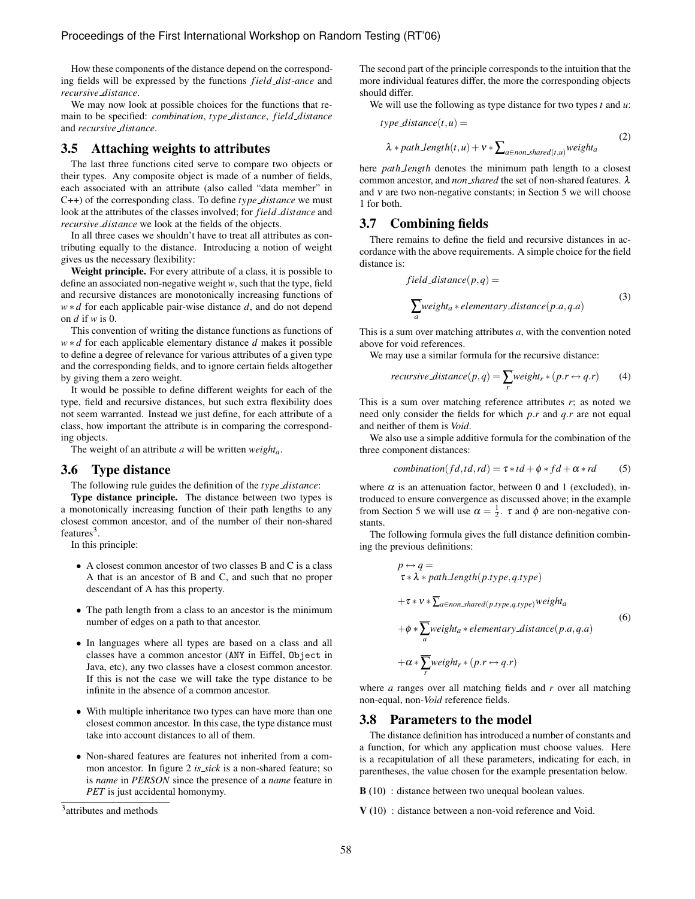How these components of the distance depend on the corresponding fields will be expressed by the functions *field dist*-*ance* and *recursive distance*.

We may now look at possible choices for the functions that remain to be specified: *combination*, *type distance*, *field distance* and *recursive distance*.

#### 3.5 Attaching weights to attributes

The last three functions cited serve to compare two objects or their types. Any composite object is made of a number of fields, each associated with an attribute (also called "data member" in C++) of the corresponding class. To define *type distance* we must look at the attributes of the classes involved; for *field distance* and *recursive distance* we look at the fields of the objects.

In all three cases we shouldn't have to treat all attributes as contributing equally to the distance. Introducing a notion of weight gives us the necessary flexibility:

Weight principle. For every attribute of a class, it is possible to define an associated non-negative weight *w*, such that the type, field and recursive distances are monotonically increasing functions of *w*∗ *d* for each applicable pair-wise distance *d*, and do not depend on *d* if *w* is 0.

This convention of writing the distance functions as functions of *w*∗ *d* for each applicable elementary distance *d* makes it possible to define a degree of relevance for various attributes of a given type and the corresponding fields, and to ignore certain fields altogether by giving them a zero weight.

It would be possible to define different weights for each of the type, field and recursive distances, but such extra flexibility does not seem warranted. Instead we just define, for each attribute of a class, how important the attribute is in comparing the corresponding objects.

The weight of an attribute *a* will be written *weighta*.

#### 3.6 Type distance

The following rule guides the definition of the *type distance*:

Type distance principle. The distance between two types is a monotonically increasing function of their path lengths to any closest common ancestor, and of the number of their non-shared features $3$ .

In this principle:

- A closest common ancestor of two classes B and C is a class A that is an ancestor of B and C, and such that no proper descendant of A has this property.
- The path length from a class to an ancestor is the minimum number of edges on a path to that ancestor.
- In languages where all types are based on a class and all classes have a common ancestor (ANY in Eiffel, Object in Java, etc), any two classes have a closest common ancestor. If this is not the case we will take the type distance to be infinite in the absence of a common ancestor.
- With multiple inheritance two types can have more than one closest common ancestor. In this case, the type distance must take into account distances to all of them.
- Non-shared features are features not inherited from a common ancestor. In figure 2 *is sick* is a non-shared feature; so is *name* in *PERSON* since the presence of a *name* feature in *PET* is just accidental homonymy.

<sup>3</sup> attributes and methods

The second part of the principle corresponds to the intuition that the more individual features differ, the more the corresponding objects should differ.

We will use the following as type distance for two types *t* and *u*:

$$
type\_distance(t, u) =
$$
  

$$
\lambda * path\_length(t, u) + v * \sum_{a \in non\_shared(t, u)} weight_a
$$
 (2)

here *path length* denotes the minimum path length to a closest common ancestor, and *non shared* the set of non-shared features. λ and  $v$  are two non-negative constants; in Section 5 we will choose 1 for both.

#### 3.7 Combining fields

There remains to define the field and recursive distances in accordance with the above requirements. A simple choice for the field distance is:

field distance
$$
(p,q)
$$
 =  
\n
$$
\sum_{a} weight_{a} * elementary\_distance(p.a,q.a)
$$
\n(3)

This is a sum over matching attributes *a*, with the convention noted above for void references.

We may use a similar formula for the recursive distance:

$$
recursive\_distance(p,q) = \sum_{r} weight_r * (p.r \leftrightarrow q.r)
$$
 (4)

This is a sum over matching reference attributes *r*; as noted we need only consider the fields for which *p.r* and *q.r* are not equal and neither of them is *Void*.

We also use a simple additive formula for the combination of the three component distances:

$$
combination(fd, td, rd) = \tau * td + \phi * fd + \alpha * rd \tag{5}
$$

where  $\alpha$  is an attenuation factor, between 0 and 1 (excluded), introduced to ensure convergence as discussed above; in the example from Section 5 we will use  $\alpha = \frac{1}{2}$ .  $\tau$  and  $\phi$  are non-negative constants.

The following formula gives the full distance definition combining the previous definitions:

$$
p \leftrightarrow q =
$$
  
\n
$$
\tau * \lambda * path_length(p.type, q.type)
$$
  
\n
$$
+ \tau * \nu * \overline{\Sigma}_{a \in non-shared(p.type, q.type)} weight_a
$$
  
\n
$$
+ \phi * \overline{\sum_{a} weight_{a} * elementary\_distance(p.a, q.a)}
$$
  
\n
$$
+ \alpha * \overline{\sum_{r} weight_{r} * (p.r \leftrightarrow q.r)}
$$
  
\n(6)

where *a* ranges over all matching fields and *r* over all matching non-equal, non-*Void* reference fields.

# 3.8 Parameters to the model

The distance definition has introduced a number of constants and a function, for which any application must choose values. Here is a recapitulation of all these parameters, indicating for each, in parentheses, the value chosen for the example presentation below.

**B** (10) : distance between two unequal boolean values.

V (10) : distance between a non-void reference and Void.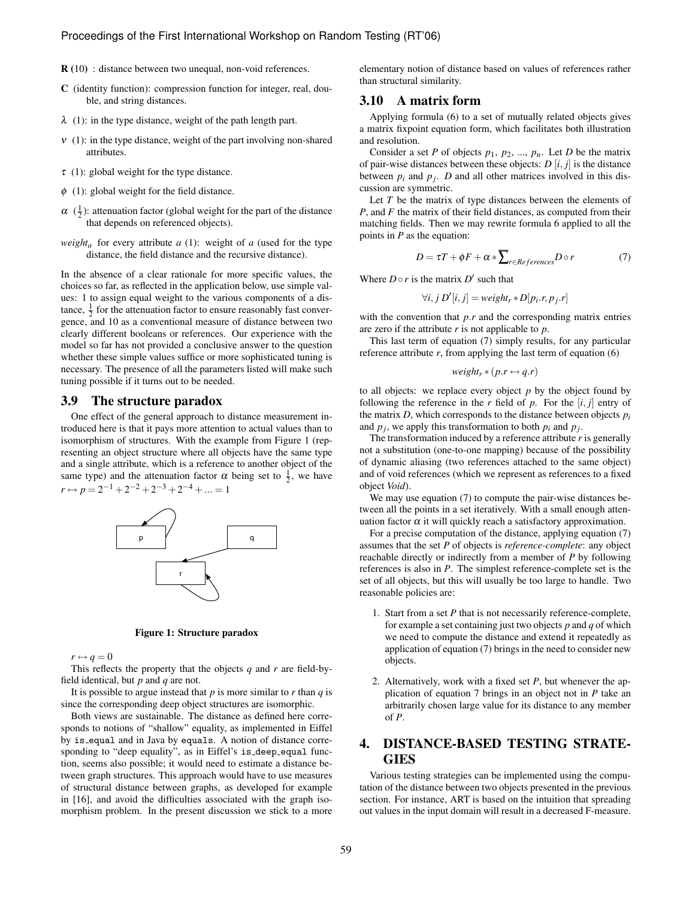- R (10) : distance between two unequal, non-void references.
- C (identity function): compression function for integer, real, double, and string distances.
- $\lambda$  (1): in the type distance, weight of the path length part.
- $v(1)$ : in the type distance, weight of the part involving non-shared attributes.
- $\tau$  (1): global weight for the type distance.
- $\phi$  (1): global weight for the field distance.
- $\alpha$  ( $\frac{1}{2}$ ): attenuation factor (global weight for the part of the distance that depends on referenced objects).
- *weight<sub>a</sub>* for every attribute *a* (1): weight of *a* (used for the type distance, the field distance and the recursive distance).

In the absence of a clear rationale for more specific values, the choices so far, as reflected in the application below, use simple values: 1 to assign equal weight to the various components of a distance,  $\frac{1}{2}$  for the attenuation factor to ensure reasonably fast convergence, and 10 as a conventional measure of distance between two clearly different booleans or references. Our experience with the model so far has not provided a conclusive answer to the question whether these simple values suffice or more sophisticated tuning is necessary. The presence of all the parameters listed will make such tuning possible if it turns out to be needed.

#### 3.9 The structure paradox

One effect of the general approach to distance measurement introduced here is that it pays more attention to actual values than to isomorphism of structures. With the example from Figure 1 (representing an object structure where all objects have the same type and a single attribute, which is a reference to another object of the same type) and the attenuation factor  $\alpha$  being set to  $\frac{1}{2}$ , we have  $r \leftrightarrow p = 2^{-1} + 2^{-2} + 2^{-3} + 2^{-4} + \dots = 1$ 





 $r \leftrightarrow q = 0$ 

This reflects the property that the objects *q* and *r* are field-byfield identical, but *p* and *q* are not.

It is possible to argue instead that  $p$  is more similar to  $r$  than  $q$  is since the corresponding deep object structures are isomorphic.

Both views are sustainable. The distance as defined here corresponds to notions of "shallow" equality, as implemented in Eiffel by is equal and in Java by equals. A notion of distance corresponding to "deep equality", as in Eiffel's is deep equal function, seems also possible; it would need to estimate a distance between graph structures. This approach would have to use measures of structural distance between graphs, as developed for example in [16], and avoid the difficulties associated with the graph isomorphism problem. In the present discussion we stick to a more

elementary notion of distance based on values of references rather than structural similarity.

#### 3.10 A matrix form

Applying formula (6) to a set of mutually related objects gives a matrix fixpoint equation form, which facilitates both illustration and resolution.

Consider a set *P* of objects  $p_1$ ,  $p_2$ , ...,  $p_n$ . Let *D* be the matrix of pair-wise distances between these objects:  $D[i, j]$  is the distance between  $p_i$  and  $p_j$ . *D* and all other matrices involved in this discussion are symmetric.

Let *T* be the matrix of type distances between the elements of *P*, and *F* the matrix of their field distances, as computed from their matching fields. Then we may rewrite formula 6 applied to all the points in *P* as the equation:

$$
D = \tau T + \phi F + \alpha * \overline{\sum}_{r \in References} D \circ r \tag{7}
$$

Where  $D \circ r$  is the matrix  $D'$  such that

$$
\forall i, j \ D'[i, j] = weight_r * D[p_i.r, p_j.r]
$$

with the convention that *p.r* and the corresponding matrix entries are zero if the attribute *r* is not applicable to *p*.

This last term of equation (7) simply results, for any particular reference attribute  $r$ , from applying the last term of equation  $(6)$ 

$$
weight_r * (p.r \leftrightarrow q.r)
$$

to all objects: we replace every object  $p$  by the object found by following the reference in the  $r$  field of  $p$ . For the  $[i, j]$  entry of the matrix  $D$ , which corresponds to the distance between objects  $p_i$ and  $p_j$ , we apply this transformation to both  $p_i$  and  $p_j$ .

The transformation induced by a reference attribute *r* is generally not a substitution (one-to-one mapping) because of the possibility of dynamic aliasing (two references attached to the same object) and of void references (which we represent as references to a fixed object *Void*).

We may use equation (7) to compute the pair-wise distances between all the points in a set iteratively. With a small enough attenuation factor  $\alpha$  it will quickly reach a satisfactory approximation.

For a precise computation of the distance, applying equation (7) assumes that the set *P* of objects is *reference-complete*: any object reachable directly or indirectly from a member of *P* by following references is also in *P*. The simplest reference-complete set is the set of all objects, but this will usually be too large to handle. Two reasonable policies are:

- 1. Start from a set *P* that is not necessarily reference-complete, for example a set containing just two objects *p* and *q* of which we need to compute the distance and extend it repeatedly as application of equation (7) brings in the need to consider new objects.
- 2. Alternatively, work with a fixed set *P*, but whenever the application of equation 7 brings in an object not in *P* take an arbitrarily chosen large value for its distance to any member of *P*.

# 4. DISTANCE-BASED TESTING STRATE-GIES

Various testing strategies can be implemented using the computation of the distance between two objects presented in the previous section. For instance, ART is based on the intuition that spreading out values in the input domain will result in a decreased F-measure.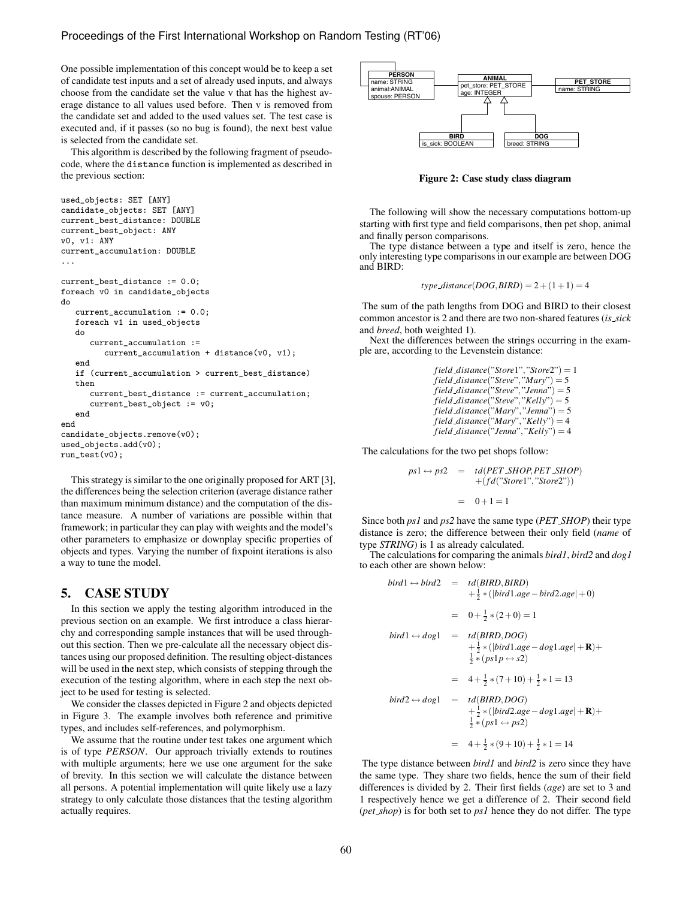One possible implementation of this concept would be to keep a set of candidate test inputs and a set of already used inputs, and always choose from the candidate set the value v that has the highest average distance to all values used before. Then v is removed from the candidate set and added to the used values set. The test case is executed and, if it passes (so no bug is found), the next best value is selected from the candidate set.

This algorithm is described by the following fragment of pseudocode, where the distance function is implemented as described in the previous section:

```
used_objects: SET [ANY]
candidate_objects: SET [ANY]
current_best_distance: DOUBLE
current_best_object: ANY
v0, v1: ANY
current_accumulation: DOUBLE
...
current_best_distance := 0.0;
foreach v0 in candidate_objects
do
   current accumulation := 0.0;
   foreach v1 in used_objects
   do
      current_accumulation :=
         current_accumulation + distance(v0, v1);
   end
   if (current_accumulation > current_best_distance)
   then
      current_best_distance := current_accumulation;
      current_best_object := v0;
   end
end
candidate_objects.remove(v0);
used_objects.add(v0);
run_test(v0);
```
This strategy is similar to the one originally proposed for ART [3], the differences being the selection criterion (average distance rather than maximum minimum distance) and the computation of the distance measure. A number of variations are possible within that framework; in particular they can play with weights and the model's other parameters to emphasize or downplay specific properties of objects and types. Varying the number of fixpoint iterations is also a way to tune the model.

# 5. CASE STUDY

In this section we apply the testing algorithm introduced in the previous section on an example. We first introduce a class hierarchy and corresponding sample instances that will be used throughout this section. Then we pre-calculate all the necessary object distances using our proposed definition. The resulting object-distances will be used in the next step, which consists of stepping through the execution of the testing algorithm, where in each step the next object to be used for testing is selected.

We consider the classes depicted in Figure 2 and objects depicted in Figure 3. The example involves both reference and primitive types, and includes self-references, and polymorphism.

We assume that the routine under test takes one argument which is of type *PERSON*. Our approach trivially extends to routines with multiple arguments; here we use one argument for the sake of brevity. In this section we will calculate the distance between all persons. A potential implementation will quite likely use a lazy strategy to only calculate those distances that the testing algorithm actually requires.



Figure 2: Case study class diagram

The following will show the necessary computations bottom-up starting with first type and field comparisons, then pet shop, animal and finally person comparisons.

The type distance between a type and itself is zero, hence the only interesting type comparisons in our example are between DOG and BIRD:

$$
type\_distance(DOG, BIRD) = 2 + (1 + 1) = 4
$$

The sum of the path lengths from DOG and BIRD to their closest common ancestor is 2 and there are two non-shared features (*is sick* and *breed*, both weighted 1).

Next the differences between the strings occurring in the example are, according to the Levenstein distance:

> *field distance*("*Store*1"*,*"*Store*2") = 1  $$ *field distance*("*Steve*"*,*"*Jenna*") = 5 *field distance*("*Steve*"*,*"*Kelly*") = 5 *field distance*("*Mary*"*,*"*Jenna*") = 5  $field\_distance("Mary", "Kelly") = 4$ *field distance*("*Jenna*"*,*"*Kelly*") = 4

The calculations for the two pet shops follow:

$$
ps1 \leftrightarrow ps2 = td(PET\_SHOP, PET\_SHOP)
$$
  
+
$$
+ (fd("Store1", "Store2"))
$$
  
= 0+1=1

Since both *ps1* and *ps2* have the same type (*PET SHOP*) their type distance is zero; the difference between their only field (*name* of type *STRING*) is 1 as already calculated.

The calculations for comparing the animals *bird1*, *bird2* and *dog1* to each other are shown below:

$$
bird1 \leftrightarrow bird2 = td(BIRD, BIRD)
$$
  
\n
$$
+ \frac{1}{2} * (|bird1.age - bird2.age| + 0)
$$
  
\n
$$
= 0 + \frac{1}{2} * (2 + 0) = 1
$$
  
\n
$$
bird1 \leftrightarrow dog1 = td(BIRD, DOG)
$$
  
\n
$$
+ \frac{1}{2} * (|bird1.age - dog1.age| + \mathbf{R}) + \frac{1}{2} * (ps1p \leftrightarrow s2)
$$
  
\n
$$
= 4 + \frac{1}{2} * (7 + 10) + \frac{1}{2} * 1 = 13
$$
  
\n
$$
bird2 \leftrightarrow dog1 = td(BIRD, DOG)
$$
  
\n
$$
+ \frac{1}{2} * (ps1 \leftrightarrow ps2)
$$

$$
= 4 + \frac{1}{2} * (9 + 10) + \frac{1}{2} * 1 = 14
$$

The type distance between *bird1* and *bird2* is zero since they have the same type. They share two fields, hence the sum of their field differences is divided by 2. Their first fields (*age*) are set to 3 and 1 respectively hence we get a difference of 2. Their second field (*pet shop*) is for both set to *ps1* hence they do not differ. The type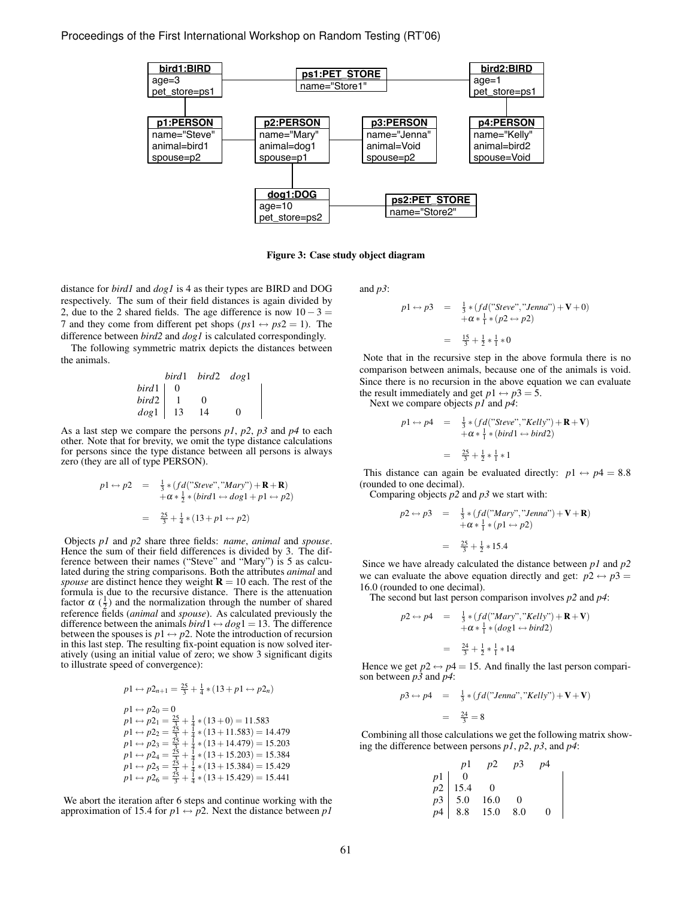

Figure 3: Case study object diagram

distance for *bird1* and *dog1* is 4 as their types are BIRD and DOG respectively. The sum of their field distances is again divided by 2, due to the 2 shared fields. The age difference is now  $10 - 3 =$ 7 and they come from different pet shops ( $ps1 \leftrightarrow ps2 = 1$ ). The difference between *bird2* and *dog1* is calculated correspondingly.

The following symmetric matrix depicts the distances between the animals.

| bird1   | bird2 | dog1 |   |
|---------|-------|------|---|
| $bird1$ | 0     |      |   |
| $bird2$ | 1     | 0    |   |
| $dog1$  | 13    | 14   | 0 |

As a last step we compare the persons *p1*, *p2*, *p3* and *p4* to each other. Note that for brevity, we omit the type distance calculations for persons since the type distance between all persons is always zero (they are all of type PERSON).

$$
p1 \leftrightarrow p2 = \frac{1}{3} * (fd("Steve", "Mary") + \mathbf{R} + \mathbf{R})
$$
  
+  $\alpha * \frac{1}{2} * (bird1 \leftrightarrow dog1 + p1 \leftrightarrow p2)$   
=  $\frac{25}{3} + \frac{1}{4} * (13 + p1 \leftrightarrow p2)$ 

Objects *p1* and *p2* share three fields: *name*, *animal* and *spouse*. Hence the sum of their field differences is divided by 3. The difference between their names ("Steve" and "Mary") is 5 as calculated during the string comparisons. Both the attributes *animal* and *spouse* are distinct hence they weight  $\mathbf{R} = 10$  each. The rest of the formula is due to the recursive distance. There is the attenuation factor  $\alpha$  ( $\frac{1}{2}$ ) and the normalization through the number of shared reference fields (*animal* and *spouse*). As calculated previously the difference between the animals  $bird1 \leftrightarrow dog1 = 13$ . The difference between the spouses is  $p1 \leftrightarrow p2$ . Note the introduction of recursion in this last step. The resulting fix-point equation is now solved iteratively (using an initial value of zero; we show 3 significant digits to illustrate speed of convergence):

$$
p1 \leftrightarrow p2_{n+1} = \frac{25}{3} + \frac{1}{4} * (13 + p1 \leftrightarrow p2_n)
$$
  
\n
$$
p1 \leftrightarrow p2_0 = 0
$$
  
\n
$$
p1 \leftrightarrow p2_1 = \frac{25}{3} + \frac{1}{4} * (13 + 0) = 11.583
$$
  
\n
$$
p1 \leftrightarrow p2_2 = \frac{25}{3} + \frac{1}{4} * (13 + 11.583) = 14.479
$$
  
\n
$$
p1 \leftrightarrow p2_3 = \frac{25}{3} + \frac{1}{4} * (13 + 14.479) = 15.203
$$
  
\n
$$
p1 \leftrightarrow p2_4 = \frac{25}{3} + \frac{1}{4} * (13 + 15.203) = 15.384
$$
  
\n
$$
p1 \leftrightarrow p2_5 = \frac{25}{3} + \frac{1}{4} * (13 + 15.384) = 15.429
$$
  
\n
$$
p1 \leftrightarrow p2_6 = \frac{25}{3} + \frac{1}{4} * (13 + 15.429) = 15.441
$$

We abort the iteration after 6 steps and continue working with the approximation of 15.4 for  $p1 \leftrightarrow p2$ . Next the distance between  $p1$ 

and *p3*:

$$
p1 \leftrightarrow p3 = \frac{1}{3} * (fd("Steve", "Jenna") + V + 0)
$$
  
+  $\alpha * \frac{1}{1} * (p2 \leftrightarrow p2)$   
=  $\frac{15}{3} + \frac{1}{2} * \frac{1}{1} * 0$ 

Note that in the recursive step in the above formula there is no comparison between animals, because one of the animals is void. Since there is no recursion in the above equation we can evaluate the result immediately and get  $p1 \leftrightarrow p3 = 5$ .

Next we compare objects *p1* and *p4*:

$$
p1 \leftrightarrow p4 = \frac{1}{3} * (fd("Steve", "Kelly") + \mathbf{R} + \mathbf{V})
$$
  
+  $\alpha * \frac{1}{1} * (bird \leftrightarrow bird2)$ 

$$
= \frac{25}{3} + \frac{1}{2} * \frac{1}{1} * 1
$$

This distance can again be evaluated directly:  $p1 \leftrightarrow p4 = 8.8$ (rounded to one decimal).

Comparing objects *p2* and *p3* we start with:

$$
p2 \leftrightarrow p3 = \frac{1}{3} * (fd("Mary", "Jenna") + V + R)
$$
  
+  $\alpha * \frac{1}{1} * (p1 \leftrightarrow p2)$   
=  $\frac{25}{3} + \frac{1}{2} * 15.4$ 

Since we have already calculated the distance between *p1* and *p2* we can evaluate the above equation directly and get:  $p2 \leftrightarrow p3$ 16*.*0 (rounded to one decimal).

The second but last person comparison involves *p2* and *p4*:

$$
p2 \leftrightarrow p4 = \frac{1}{3} * (fd("Mary", "Kelly") + \mathbf{R} + \mathbf{V})
$$
  
+  $\alpha * \frac{1}{1} * (dog1 \leftrightarrow bird2)$   
=  $\frac{24}{3} + \frac{1}{2} * \frac{1}{1} * 14$ 

Hence we get  $p2 \leftrightarrow p4 = 15$ . And finally the last person comparison between *p3* and *p4*:

$$
p3 \leftrightarrow p4 = \frac{1}{3} * (fd("Jenna", "Kelly") + \mathbf{V} + \mathbf{V})
$$

$$
= \frac{24}{3} = 8
$$

Combining all those calculations we get the following matrix showing the difference between persons *p1*, *p2*, *p3*, and *p4*:

|  | $p1$ $p2$ $p3$ $p4$                                                                                                                  |          |
|--|--------------------------------------------------------------------------------------------------------------------------------------|----------|
|  |                                                                                                                                      |          |
|  |                                                                                                                                      |          |
|  |                                                                                                                                      |          |
|  | $\begin{array}{c cc} p1 & 0 & \cdot & \cdot \\ p2 & 15.4 & 0 & \cdot \\ p3 & 5.0 & 16.0 & 0 \\ p4 & 8.8 & 15.0 & 8.0 \\ \end{array}$ | $\theta$ |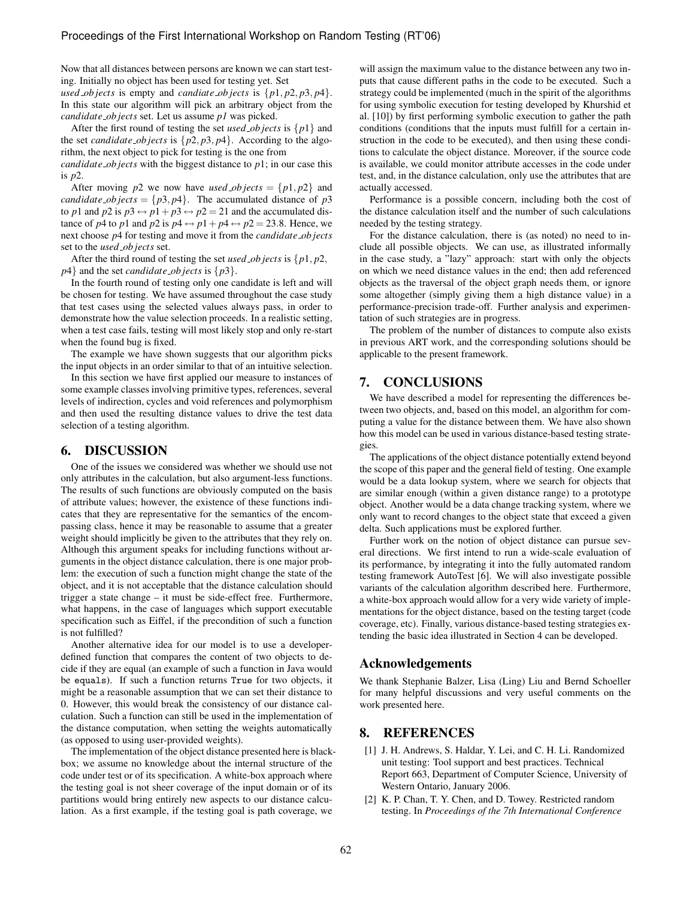Now that all distances between persons are known we can start testing. Initially no object has been used for testing yet. Set

*used objects* is empty and *candiate\_objects* is  $\{p1, p2, p3, p4\}$ . In this state our algorithm will pick an arbitrary object from the *candidate ob jects* set. Let us assume *p1* was picked.

After the first round of testing the set *used objects* is  $\{p1\}$  and the set *candidate\_objects* is  $\{p2, p3, p4\}$ . According to the algorithm, the next object to pick for testing is the one from

*candidate ob jects* with the biggest distance to *p*1; in our case this is *p*2.

After moving *p*2 we now have *used\_objects* = { $p1, p2$ } and *candidate\_objects* = { $p3$ *, p4*}. The accumulated distance of  $p3$ to *p*1 and *p*2 is  $p3 \leftrightarrow p1 + p3 \leftrightarrow p2 = 21$  and the accumulated distance of *p*4 to *p*1 and *p*2 is  $p$ 4  $\leftrightarrow$  *p*1 +  $p$ 4  $\leftrightarrow$  *p*2 = 23*.8.* Hence, we next choose *p*4 for testing and move it from the *candidate ob jects* set to the *used ob jects* set.

After the third round of testing the set *used ob jects* is {*p*1*, p*2*, p*4} and the set *candidate ob jects* is {*p*3}.

In the fourth round of testing only one candidate is left and will be chosen for testing. We have assumed throughout the case study that test cases using the selected values always pass, in order to demonstrate how the value selection proceeds. In a realistic setting, when a test case fails, testing will most likely stop and only re-start when the found bug is fixed.

The example we have shown suggests that our algorithm picks the input objects in an order similar to that of an intuitive selection.

In this section we have first applied our measure to instances of some example classes involving primitive types, references, several levels of indirection, cycles and void references and polymorphism and then used the resulting distance values to drive the test data selection of a testing algorithm.

### 6. DISCUSSION

One of the issues we considered was whether we should use not only attributes in the calculation, but also argument-less functions. The results of such functions are obviously computed on the basis of attribute values; however, the existence of these functions indicates that they are representative for the semantics of the encompassing class, hence it may be reasonable to assume that a greater weight should implicitly be given to the attributes that they rely on. Although this argument speaks for including functions without arguments in the object distance calculation, there is one major problem: the execution of such a function might change the state of the object, and it is not acceptable that the distance calculation should trigger a state change – it must be side-effect free. Furthermore, what happens, in the case of languages which support executable specification such as Eiffel, if the precondition of such a function is not fulfilled?

Another alternative idea for our model is to use a developerdefined function that compares the content of two objects to decide if they are equal (an example of such a function in Java would be equals). If such a function returns True for two objects, it might be a reasonable assumption that we can set their distance to 0. However, this would break the consistency of our distance calculation. Such a function can still be used in the implementation of the distance computation, when setting the weights automatically (as opposed to using user-provided weights).

The implementation of the object distance presented here is blackbox; we assume no knowledge about the internal structure of the code under test or of its specification. A white-box approach where the testing goal is not sheer coverage of the input domain or of its partitions would bring entirely new aspects to our distance calculation. As a first example, if the testing goal is path coverage, we

will assign the maximum value to the distance between any two inputs that cause different paths in the code to be executed. Such a strategy could be implemented (much in the spirit of the algorithms for using symbolic execution for testing developed by Khurshid et al. [10]) by first performing symbolic execution to gather the path conditions (conditions that the inputs must fulfill for a certain instruction in the code to be executed), and then using these conditions to calculate the object distance. Moreover, if the source code is available, we could monitor attribute accesses in the code under test, and, in the distance calculation, only use the attributes that are actually accessed.

Performance is a possible concern, including both the cost of the distance calculation itself and the number of such calculations needed by the testing strategy.

For the distance calculation, there is (as noted) no need to include all possible objects. We can use, as illustrated informally in the case study, a "lazy" approach: start with only the objects on which we need distance values in the end; then add referenced objects as the traversal of the object graph needs them, or ignore some altogether (simply giving them a high distance value) in a performance-precision trade-off. Further analysis and experimentation of such strategies are in progress.

The problem of the number of distances to compute also exists in previous ART work, and the corresponding solutions should be applicable to the present framework.

# 7. CONCLUSIONS

We have described a model for representing the differences between two objects, and, based on this model, an algorithm for computing a value for the distance between them. We have also shown how this model can be used in various distance-based testing strategies.

The applications of the object distance potentially extend beyond the scope of this paper and the general field of testing. One example would be a data lookup system, where we search for objects that are similar enough (within a given distance range) to a prototype object. Another would be a data change tracking system, where we only want to record changes to the object state that exceed a given delta. Such applications must be explored further.

Further work on the notion of object distance can pursue several directions. We first intend to run a wide-scale evaluation of its performance, by integrating it into the fully automated random testing framework AutoTest [6]. We will also investigate possible variants of the calculation algorithm described here. Furthermore, a white-box approach would allow for a very wide variety of implementations for the object distance, based on the testing target (code coverage, etc). Finally, various distance-based testing strategies extending the basic idea illustrated in Section 4 can be developed.

# Acknowledgements

We thank Stephanie Balzer, Lisa (Ling) Liu and Bernd Schoeller for many helpful discussions and very useful comments on the work presented here.

# 8. REFERENCES

- [1] J. H. Andrews, S. Haldar, Y. Lei, and C. H. Li. Randomized unit testing: Tool support and best practices. Technical Report 663, Department of Computer Science, University of Western Ontario, January 2006.
- [2] K. P. Chan, T. Y. Chen, and D. Towey. Restricted random testing. In *Proceedings of the 7th International Conference*